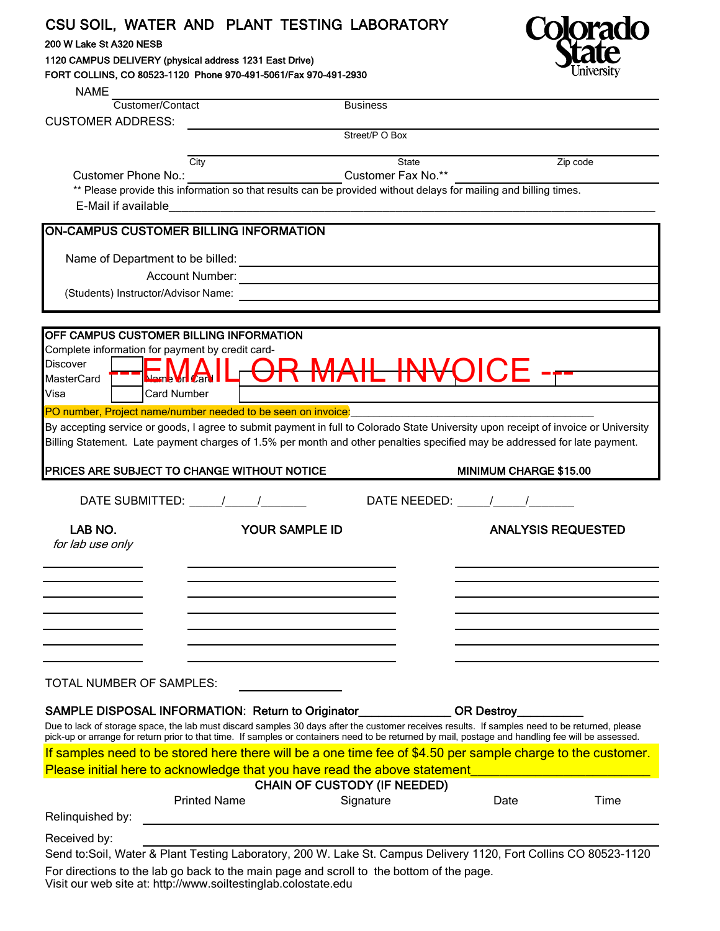## CSU SOIL, WATER AND PLANT TESTING LABORATORY

## 200 W Lake St A320 NESB

1120 CAMPUS DELIVERY (physical address 1231 East Drive) FORT COLLINS, CO 80523-1120 Phone 970-491-5061/Fax 970-491-2930



| <b>NAME</b>                                                                                                                                                                                                                                                       |                                                   |                    |                                   |          |
|-------------------------------------------------------------------------------------------------------------------------------------------------------------------------------------------------------------------------------------------------------------------|---------------------------------------------------|--------------------|-----------------------------------|----------|
| Customer/Contact                                                                                                                                                                                                                                                  |                                                   | <b>Business</b>    |                                   |          |
| <b>CUSTOMER ADDRESS:</b>                                                                                                                                                                                                                                          |                                                   |                    |                                   |          |
|                                                                                                                                                                                                                                                                   |                                                   | Street/P O Box     |                                   |          |
| City                                                                                                                                                                                                                                                              |                                                   | <b>State</b>       |                                   | Zip code |
| Customer Phone No.:                                                                                                                                                                                                                                               |                                                   | Customer Fax No.** |                                   |          |
| ** Please provide this information so that results can be provided without delays for mailing and billing times.                                                                                                                                                  |                                                   |                    |                                   |          |
|                                                                                                                                                                                                                                                                   |                                                   |                    |                                   |          |
| <b>ON-CAMPUS CUSTOMER BILLING INFORMATION</b>                                                                                                                                                                                                                     |                                                   |                    |                                   |          |
| Name of Department to be billed:<br><u> and</u> the billed:                                                                                                                                                                                                       |                                                   |                    |                                   |          |
|                                                                                                                                                                                                                                                                   |                                                   |                    |                                   |          |
| (Students) Instructor/Advisor Name:                                                                                                                                                                                                                               |                                                   |                    |                                   |          |
|                                                                                                                                                                                                                                                                   |                                                   |                    |                                   |          |
| OFF CAMPUS CUSTOMER BILLING INFORMATION                                                                                                                                                                                                                           |                                                   |                    |                                   |          |
| Complete information for payment by credit card-                                                                                                                                                                                                                  |                                                   |                    |                                   |          |
| <b>Discover</b>                                                                                                                                                                                                                                                   |                                                   |                    |                                   |          |
| <b>MasterCard</b>                                                                                                                                                                                                                                                 | EMAIL <del>OR MAIL INV</del> OICE - <del>r-</del> |                    |                                   |          |
| Visa<br><b>Card Number</b>                                                                                                                                                                                                                                        |                                                   |                    |                                   |          |
| PO number, Project name/number needed to be seen on invoice!                                                                                                                                                                                                      |                                                   |                    |                                   |          |
| By accepting service or goods, I agree to submit payment in full to Colorado State University upon receipt of invoice or University<br>Billing Statement. Late payment charges of 1.5% per month and other penalties specified may be addressed for late payment. |                                                   |                    |                                   |          |
| PRICES ARE SUBJECT TO CHANGE WITHOUT NOTICE                                                                                                                                                                                                                       |                                                   |                    | MINIMUM CHARGE \$15.00            |          |
|                                                                                                                                                                                                                                                                   |                                                   |                    |                                   |          |
| DATE SUBMITTED: $\frac{1}{1}$                                                                                                                                                                                                                                     |                                                   |                    | DATE NEEDED: $\frac{1}{\sqrt{2}}$ |          |
| LAB NO.                                                                                                                                                                                                                                                           | YOUR SAMPLE ID                                    |                    | <b>ANALYSIS REQUESTED</b>         |          |
| for lab use only                                                                                                                                                                                                                                                  |                                                   |                    |                                   |          |
|                                                                                                                                                                                                                                                                   |                                                   |                    |                                   |          |
|                                                                                                                                                                                                                                                                   |                                                   |                    |                                   |          |
|                                                                                                                                                                                                                                                                   |                                                   |                    |                                   |          |
|                                                                                                                                                                                                                                                                   |                                                   |                    |                                   |          |
|                                                                                                                                                                                                                                                                   |                                                   |                    |                                   |          |
|                                                                                                                                                                                                                                                                   |                                                   |                    |                                   |          |
|                                                                                                                                                                                                                                                                   |                                                   |                    |                                   |          |
| TOTAL NUMBER OF SAMPLES:                                                                                                                                                                                                                                          |                                                   |                    |                                   |          |
| SAMPLE DISPOSAL INFORMATION: Return to Originator                                                                                                                                                                                                                 |                                                   |                    |                                   |          |
| Due to lack of storage space, the lab must discard samples 30 days after the customer receives results. If samples need to be returned, please                                                                                                                    |                                                   |                    | <b>OR Destroy</b>                 |          |
| pick-up or arrange for return prior to that time. If samples or containers need to be returned by mail, postage and handling fee will be assessed.                                                                                                                |                                                   |                    |                                   |          |
| If samples need to be stored here there will be a one time fee of \$4.50 per sample charge to the customer.                                                                                                                                                       |                                                   |                    |                                   |          |
|                                                                                                                                                                                                                                                                   |                                                   |                    |                                   |          |
| Please initial here to acknowledge that you have read the above statement___________________________                                                                                                                                                              |                                                   |                    |                                   |          |
|                                                                                                                                                                                                                                                                   | <b>CHAIN OF CUSTODY (IF NEEDED)</b>               |                    |                                   |          |
| <b>Printed Name</b>                                                                                                                                                                                                                                               |                                                   | Signature          | Date                              | Time     |
| Relinquished by:                                                                                                                                                                                                                                                  |                                                   |                    |                                   |          |
| Received by:                                                                                                                                                                                                                                                      |                                                   |                    |                                   |          |
| Send to:Soil, Water & Plant Testing Laboratory, 200 W. Lake St. Campus Delivery 1120, Fort Collins CO 80523-1120<br>For directions to the lab go back to the main page and scroll to the bottom of the page.                                                      |                                                   |                    |                                   |          |

Visit our web site at: http://www.soiltestinglab.colostate.edu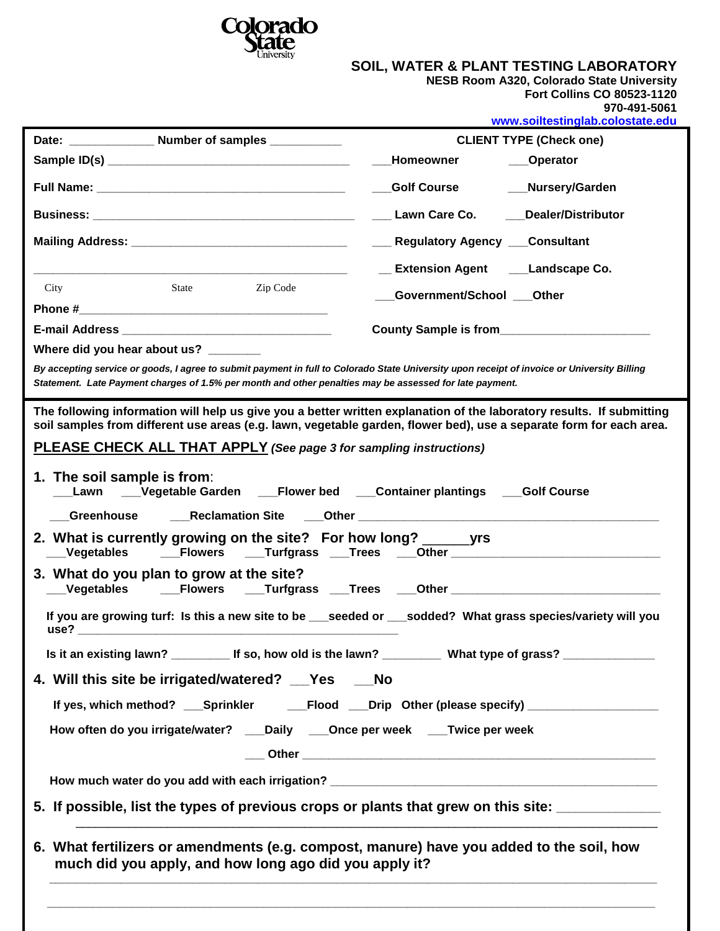

## **SOIL, WATER & PLANT TESTING LABORATORY**

**NESB Room A320, Colorado State University**

| Fort Collins CO 80523-1120 |  |              |
|----------------------------|--|--------------|
|                            |  | 970-491-5061 |

| Date: ________________ Number of samples ___________           |                                                                                                                                                                                                                                                                            | www.soiltestinglab.colostate.edu<br><b>CLIENT TYPE (Check one)</b> |                                                                                                                                                                                                                                              |                                                                                                                                                                                              |
|----------------------------------------------------------------|----------------------------------------------------------------------------------------------------------------------------------------------------------------------------------------------------------------------------------------------------------------------------|--------------------------------------------------------------------|----------------------------------------------------------------------------------------------------------------------------------------------------------------------------------------------------------------------------------------------|----------------------------------------------------------------------------------------------------------------------------------------------------------------------------------------------|
|                                                                |                                                                                                                                                                                                                                                                            |                                                                    | <b>Homeowner</b>                                                                                                                                                                                                                             | <b>_Operator</b>                                                                                                                                                                             |
|                                                                |                                                                                                                                                                                                                                                                            |                                                                    |                                                                                                                                                                                                                                              |                                                                                                                                                                                              |
|                                                                |                                                                                                                                                                                                                                                                            |                                                                    | <b>_Golf Course</b>                                                                                                                                                                                                                          | Nursery/Garden                                                                                                                                                                               |
|                                                                |                                                                                                                                                                                                                                                                            |                                                                    | ___ Lawn Care Co.                                                                                                                                                                                                                            | <b>Dealer/Distributor</b>                                                                                                                                                                    |
|                                                                |                                                                                                                                                                                                                                                                            |                                                                    | __ Regulatory Agency __ Consultant                                                                                                                                                                                                           |                                                                                                                                                                                              |
|                                                                |                                                                                                                                                                                                                                                                            |                                                                    |                                                                                                                                                                                                                                              | __ Extension Agent ____Landscape Co.                                                                                                                                                         |
| City                                                           | State                                                                                                                                                                                                                                                                      | Zip Code                                                           | Government/School ___ Other                                                                                                                                                                                                                  |                                                                                                                                                                                              |
|                                                                |                                                                                                                                                                                                                                                                            |                                                                    |                                                                                                                                                                                                                                              |                                                                                                                                                                                              |
|                                                                |                                                                                                                                                                                                                                                                            |                                                                    |                                                                                                                                                                                                                                              | County Sample is from_________________________                                                                                                                                               |
|                                                                | Where did you hear about us? _______                                                                                                                                                                                                                                       |                                                                    |                                                                                                                                                                                                                                              |                                                                                                                                                                                              |
|                                                                |                                                                                                                                                                                                                                                                            |                                                                    |                                                                                                                                                                                                                                              | By accepting service or goods, I agree to submit payment in full to Colorado State University upon receipt of invoice or University Billing                                                  |
|                                                                |                                                                                                                                                                                                                                                                            |                                                                    | Statement. Late Payment charges of 1.5% per month and other penalties may be assessed for late payment.                                                                                                                                      |                                                                                                                                                                                              |
| 1. The soil sample is from:<br><b>Greenhouse</b><br>Vegetables | 3. What do you plan to grow at the site?<br>use? The contract of the contract of the contract of the contract of the contract of the contract of the contract of the contract of the contract of the contract of the contract of the contract of the contract of the contr |                                                                    | PLEASE CHECK ALL THAT APPLY (See page 3 for sampling instructions)<br>_Lawn  ___Vegetable Garden  ___Flower bed  ___Container plantings  ___Golf Course<br>2. What is currently growing on the site? For how long? _________________________ | _Vegetables   ___Flowers  ___Turfgrass ___Trees  ___Other _______________________<br>If you are growing turf: Is this a new site to be seeded or sodded? What grass species/variety will you |
|                                                                |                                                                                                                                                                                                                                                                            |                                                                    |                                                                                                                                                                                                                                              | Is it an existing lawn? _____________ If so, how old is the lawn? ______________ What type of grass? _______________                                                                         |
|                                                                |                                                                                                                                                                                                                                                                            | 4. Will this site be irrigated/watered? Yes No                     |                                                                                                                                                                                                                                              |                                                                                                                                                                                              |
|                                                                |                                                                                                                                                                                                                                                                            |                                                                    |                                                                                                                                                                                                                                              |                                                                                                                                                                                              |
|                                                                |                                                                                                                                                                                                                                                                            |                                                                    | How often do you irrigate/water? ___Daily ___Once per week ___Twice per week                                                                                                                                                                 |                                                                                                                                                                                              |
|                                                                |                                                                                                                                                                                                                                                                            |                                                                    |                                                                                                                                                                                                                                              |                                                                                                                                                                                              |
|                                                                |                                                                                                                                                                                                                                                                            |                                                                    |                                                                                                                                                                                                                                              |                                                                                                                                                                                              |
|                                                                |                                                                                                                                                                                                                                                                            |                                                                    |                                                                                                                                                                                                                                              |                                                                                                                                                                                              |
|                                                                |                                                                                                                                                                                                                                                                            |                                                                    |                                                                                                                                                                                                                                              | 5. If possible, list the types of previous crops or plants that grew on this site: ______________                                                                                            |
|                                                                |                                                                                                                                                                                                                                                                            | much did you apply, and how long ago did you apply it?             | 6. What fertilizers or amendments (e.g. compost, manure) have you added to the soil, how                                                                                                                                                     |                                                                                                                                                                                              |

 **\_\_\_\_\_\_\_\_\_\_\_\_\_\_\_\_\_\_\_\_\_\_\_\_\_\_\_\_\_\_\_\_\_\_\_\_\_\_\_\_\_\_\_\_\_\_\_\_\_\_\_\_\_\_\_\_\_\_\_\_\_\_\_\_\_\_\_\_\_\_\_\_\_\_\_\_\_\_\_\_\_\_\_\_\_\_\_\_\_\_\_\_\_**